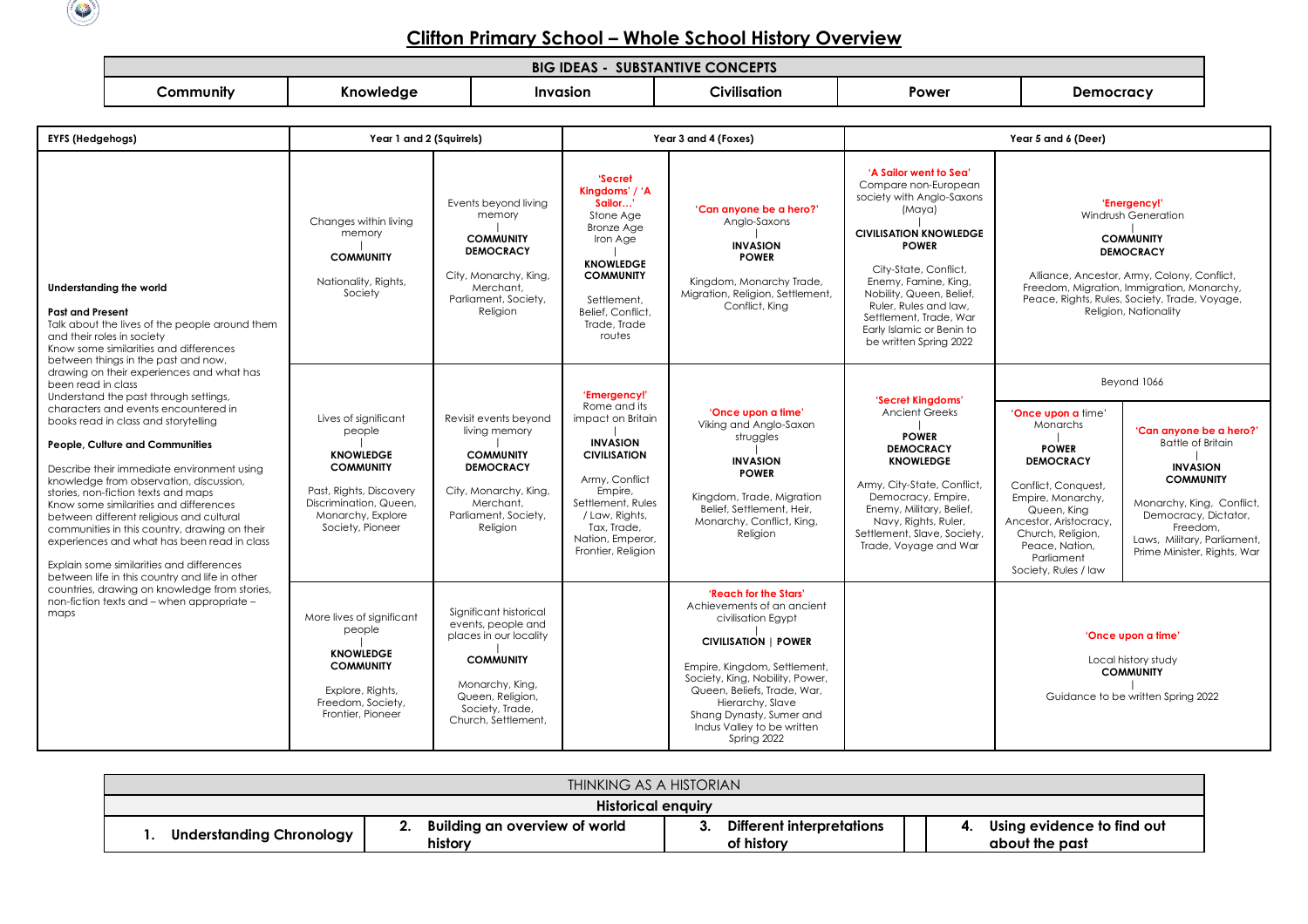

## **Clifton Primary School – Whole School History Overview**

| <b>CONCEPTS</b><br><b>SUBSTANTIVE</b><br><b>IDEA</b><br>BIG |                 |          |              |       |           |  |  |
|-------------------------------------------------------------|-----------------|----------|--------------|-------|-----------|--|--|
| ∠ommunitv                                                   | --<br>Knowledge | Invasion | Civilisation | Power | Jemocracv |  |  |

| <b>EYFS (Hedgehogs)</b>                                                                                                                                                                                                                                                                                                                                                                                                                                                                                                                                                                                                                                                                                                                                                                                                                                                                                                                                                        | Year 1 and 2 (Squirrels)                                                                                                                                             |                                                                                                                                                                             | Year 3 and 4 (Foxes)                                                                                                                                                                                                     |                                                                                                                                                                                                                                                                                                         | Year 5 and 6 (Deer)                                                                                                                                                                                                                                                                                                           |                                                                                                                                                                                                                                      |                                                                                                                                                                                                                                                    |
|--------------------------------------------------------------------------------------------------------------------------------------------------------------------------------------------------------------------------------------------------------------------------------------------------------------------------------------------------------------------------------------------------------------------------------------------------------------------------------------------------------------------------------------------------------------------------------------------------------------------------------------------------------------------------------------------------------------------------------------------------------------------------------------------------------------------------------------------------------------------------------------------------------------------------------------------------------------------------------|----------------------------------------------------------------------------------------------------------------------------------------------------------------------|-----------------------------------------------------------------------------------------------------------------------------------------------------------------------------|--------------------------------------------------------------------------------------------------------------------------------------------------------------------------------------------------------------------------|---------------------------------------------------------------------------------------------------------------------------------------------------------------------------------------------------------------------------------------------------------------------------------------------------------|-------------------------------------------------------------------------------------------------------------------------------------------------------------------------------------------------------------------------------------------------------------------------------------------------------------------------------|--------------------------------------------------------------------------------------------------------------------------------------------------------------------------------------------------------------------------------------|----------------------------------------------------------------------------------------------------------------------------------------------------------------------------------------------------------------------------------------------------|
| Understanding the world<br><b>Past and Present</b><br>Talk about the lives of the people around them<br>and their roles in society<br>Know some similarities and differences<br>between things in the past and now,<br>drawing on their experiences and what has<br>been read in class<br>Understand the past through settings,<br>characters and events encountered in<br>books read in class and storytelling<br>People, Culture and Communities<br>Describe their immediate environment using<br>knowledge from observation, discussion,<br>stories, non-fiction texts and maps<br>Know some similarities and differences<br>between different religious and cultural<br>communities in this country, drawing on their<br>experiences and what has been read in class<br>Explain some similarities and differences<br>between life in this country and life in other<br>countries, drawing on knowledge from stories,<br>non-fiction texts and – when appropriate –<br>maps | Changes within living<br>memory<br><b>COMMUNITY</b><br>Nationality, Rights,<br>Society                                                                               | Events bevond living<br>memory<br><b>COMMUNITY</b><br><b>DEMOCRACY</b><br>City, Monarchy, King,<br>Merchant.<br>Parliament, Society,<br>Religion                            | 'Secret<br>Kinadoms' / 'A<br>Sailor'<br>Stone Age<br><b>Bronze Age</b><br>Iron Age<br><b>KNOWLEDGE</b><br><b>COMMUNITY</b><br>Settlement.<br>Belief, Conflict,<br>Trade, Trade<br>routes                                 | 'Can anyone be a hero?'<br>Anglo-Saxons<br><b>INVASION</b><br><b>POWER</b><br>Kingdom, Monarchy Trade,<br>Migration, Religion, Settlement,<br>Conflict, King                                                                                                                                            | 'A Sailor went to Sea'<br>Compare non-European<br>society with Anglo-Saxons<br>(Maya)<br><b>CIVILISATION KNOWLEDGE</b><br><b>POWER</b><br>City-State, Conflict,<br>Enemy, Famine, King,<br>Nobility, Queen, Belief,<br>Ruler, Rules and law,<br>Settlement, Trade, War<br>Early Islamic or Benin to<br>be written Spring 2022 |                                                                                                                                                                                                                                      | 'Energency!'<br>Windrush Generation<br><b>COMMUNITY</b><br><b>DEMOCRACY</b><br>Alliance, Ancestor, Army, Colony, Conflict,<br>Freedom, Migration, Immigration, Monarchy,<br>Peace, Rights, Rules, Society, Trade, Voyage,<br>Religion, Nationality |
|                                                                                                                                                                                                                                                                                                                                                                                                                                                                                                                                                                                                                                                                                                                                                                                                                                                                                                                                                                                | Lives of significant<br>people<br><b>KNOWLEDGE</b><br><b>COMMUNITY</b><br>Past, Rights, Discovery<br>Discrimination, Queen.<br>Monarchy, Explore<br>Society, Pioneer | Revisit events beyond<br>living memory<br><b>COMMUNITY</b><br><b>DEMOCRACY</b><br>City, Monarchy, King,<br>Merchant.<br>Parliament, Society,<br>Religion                    | 'Emergency!'<br>Rome and its<br>impact on Britain<br><b>INVASION</b><br><b>CIVILISATION</b><br>Army, Conflict<br>Empire,<br>Settlement, Rules<br>/ Law, Rights,<br>Tax, Trade,<br>Nation, Emperor,<br>Frontier, Religion | 'Once upon a time'<br>Viking and Anglo-Saxon<br>struggles<br><b>INVASION</b><br><b>POWER</b><br>Kingdom, Trade, Migration<br>Belief, Settlement, Heir,<br>Monarchy, Conflict, King,<br>Religion                                                                                                         | 'Secret Kinadoms'<br><b>Ancient Greeks</b><br><b>POWER</b><br><b>DEMOCRACY</b><br><b>KNOWLEDGE</b><br>Army, City-State, Conflict,<br>Democracy, Empire,<br>Enemy, Military, Belief,<br>Navy, Rights, Ruler,<br>Settlement, Slave, Society,<br>Trade, Voyage and War                                                           | 'Once upon a time'<br>Monarchs<br><b>POWER</b><br><b>DEMOCRACY</b><br>Conflict, Conquest,<br>Empire, Monarchy,<br>Queen, King<br>Ancestor, Aristocracy,<br>Church, Religion,<br>Peace, Nation,<br>Parliament<br>Society, Rules / law | Beyond 1066<br>'Can anvone be a hero?'<br><b>Battle of Britain</b><br><b>INVASION</b><br><b>COMMUNITY</b><br>Monarchy, King, Conflict,<br>Democracy, Dictator,<br>Freedom,<br>Laws, Military, Parliament,<br>Prime Minister, Rights, War           |
|                                                                                                                                                                                                                                                                                                                                                                                                                                                                                                                                                                                                                                                                                                                                                                                                                                                                                                                                                                                | More lives of significant<br>people<br><b>KNOWLEDGE</b><br><b>COMMUNITY</b><br>Explore, Rights,<br>Freedom, Society,<br>Frontier, Pioneer                            | Significant historical<br>events, people and<br>places in our locality<br><b>COMMUNITY</b><br>Monarchy, King,<br>Queen, Religion,<br>Society, Trade,<br>Church, Settlement, |                                                                                                                                                                                                                          | 'Reach for the Stars'<br>Achievements of an ancient<br>civilisation Egypt<br><b>CIVILISATION   POWER</b><br>Empire, Kingdom, Settlement,<br>Society, King, Nobility, Power,<br>Queen, Beliefs, Trade, War,<br>Hierarchy, Slave<br>Shang Dynasty, Sumer and<br>Indus Valley to be written<br>Spring 2022 |                                                                                                                                                                                                                                                                                                                               |                                                                                                                                                                                                                                      | 'Once upon a time'<br>Local history study<br><b>COMMUNITY</b><br>Guidance to be written Spring 2022                                                                                                                                                |

| THINKING AS A HISTORIAN         |                                          |                                         |                                              |  |  |  |  |
|---------------------------------|------------------------------------------|-----------------------------------------|----------------------------------------------|--|--|--|--|
| Historical enauiry              |                                          |                                         |                                              |  |  |  |  |
| <b>Understanding Chronology</b> | Building an overview of world<br>history | Different interpretations<br>of history | Using evidence to find out<br>about the past |  |  |  |  |